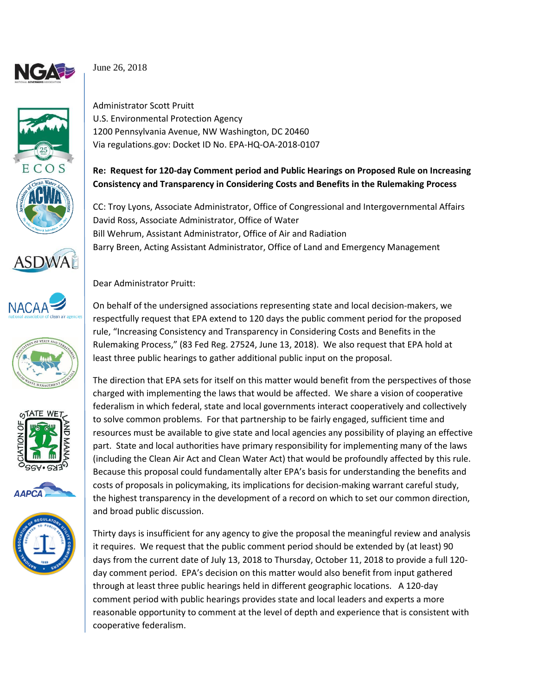

June 26, 2018

















Administrator Scott Pruitt U.S. Environmental Protection Agency 1200 Pennsylvania Avenue, NW Washington, DC 20460 Via regulations.gov: Docket ID No. EPA-HQ-OA-2018-0107

## **Re: Request for 120-day Comment period and Public Hearings on Proposed Rule on Increasing Consistency and Transparency in Considering Costs and Benefits in the Rulemaking Process**

CC: Troy Lyons, Associate Administrator, Office of Congressional and Intergovernmental Affairs David Ross, Associate Administrator, Office of Water Bill Wehrum, Assistant Administrator, Office of Air and Radiation Barry Breen, Acting Assistant Administrator, Office of Land and Emergency Management

## Dear Administrator Pruitt:

On behalf of the undersigned associations representing state and local decision-makers, we respectfully request that EPA extend to 120 days the public comment period for the proposed rule, "Increasing Consistency and Transparency in Considering Costs and Benefits in the Rulemaking Process," (83 Fed Reg. 27524, June 13, 2018). We also request that EPA hold at least three public hearings to gather additional public input on the proposal.

The direction that EPA sets for itself on this matter would benefit from the perspectives of those charged with implementing the laws that would be affected. We share a vision of cooperative federalism in which federal, state and local governments interact cooperatively and collectively to solve common problems. For that partnership to be fairly engaged, sufficient time and resources must be available to give state and local agencies any possibility of playing an effective part. State and local authorities have primary responsibility for implementing many of the laws (including the Clean Air Act and Clean Water Act) that would be profoundly affected by this rule. Because this proposal could fundamentally alter EPA's basis for understanding the benefits and costs of proposals in policymaking, its implications for decision-making warrant careful study, the highest transparency in the development of a record on which to set our common direction, and broad public discussion.

Thirty days is insufficient for any agency to give the proposal the meaningful review and analysis it requires. We request that the public comment period should be extended by (at least) 90 days from the current date of July 13, 2018 to Thursday, October 11, 2018 to provide a full 120 day comment period. EPA's decision on this matter would also benefit from input gathered through at least three public hearings held in different geographic locations. A 120-day comment period with public hearings provides state and local leaders and experts a more reasonable opportunity to comment at the level of depth and experience that is consistent with cooperative federalism.